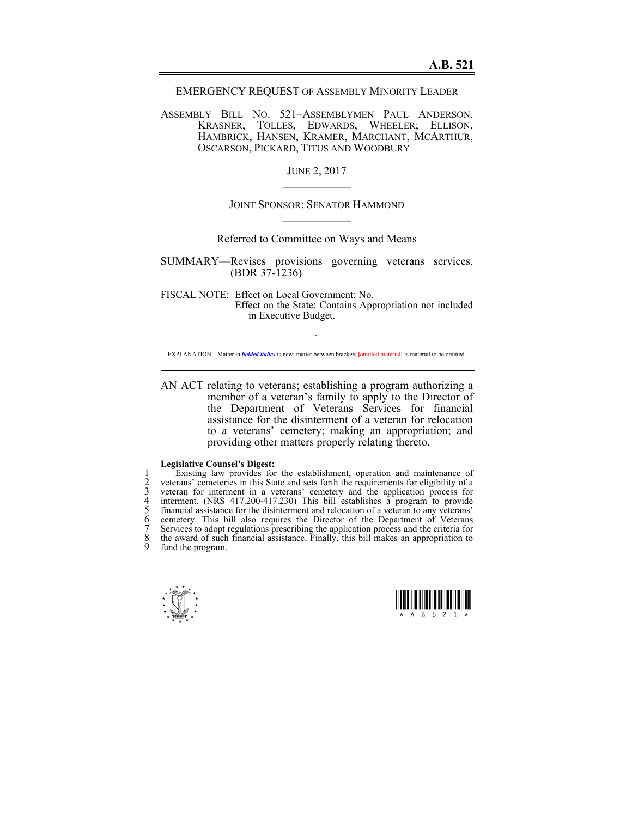EMERGENCY REQUEST OF ASSEMBLY MINORITY LEADER

ASSEMBLY BILL NO. 521–ASSEMBLYMEN PAUL ANDERSON, KRASNER, TOLLES, EDWARDS, WHEELER; ELLISON, HAMBRICK, HANSEN, KRAMER, MARCHANT, MCARTHUR, OSCARSON, PICKARD, TITUS AND WOODBURY

> JUNE 2, 2017  $\mathcal{L}_\text{max}$

## JOINT SPONSOR: SENATOR HAMMOND  $\mathcal{L}_\text{max}$

Referred to Committee on Ways and Means

SUMMARY—Revises provisions governing veterans services. (BDR 37-1236)

FISCAL NOTE: Effect on Local Government: No. Effect on the State: Contains Appropriation not included in Executive Budget.

 $\sim$ EXPLANATION – Matter in *bolded italics* is new; matter between brackets **[**omitted material**]** is material to be omitted.

AN ACT relating to veterans; establishing a program authorizing a member of a veteran's family to apply to the Director of the Department of Veterans Services for financial assistance for the disinterment of a veteran for relocation to a veterans' cemetery; making an appropriation; and providing other matters properly relating thereto.

## **Legislative Counsel's Digest:**

Existing law provides for the establishment, operation and maintenance of<br>
2 veterans' cemeteries in this State and sets forth the requirements for eligibility of a<br>
3 veteran for interment in a veterans' cemetery and the 2 veterans' cemeteries in this State and sets forth the requirements for eligibility of a 3 veteran for interment in a veterans' cemetery and the application process for 4 interment. (NRS 417.200-417.230) This bill establishes a program to provide financial assistance for the disinterment and relocation of a veteran to any veterans' cemetery. This bill also requires the Director of the Department of Veterans Services to adopt regulations prescribing the application process and the criteria for the award of such financial assistance. Finally, this bill makes an appropriation to fund the program.